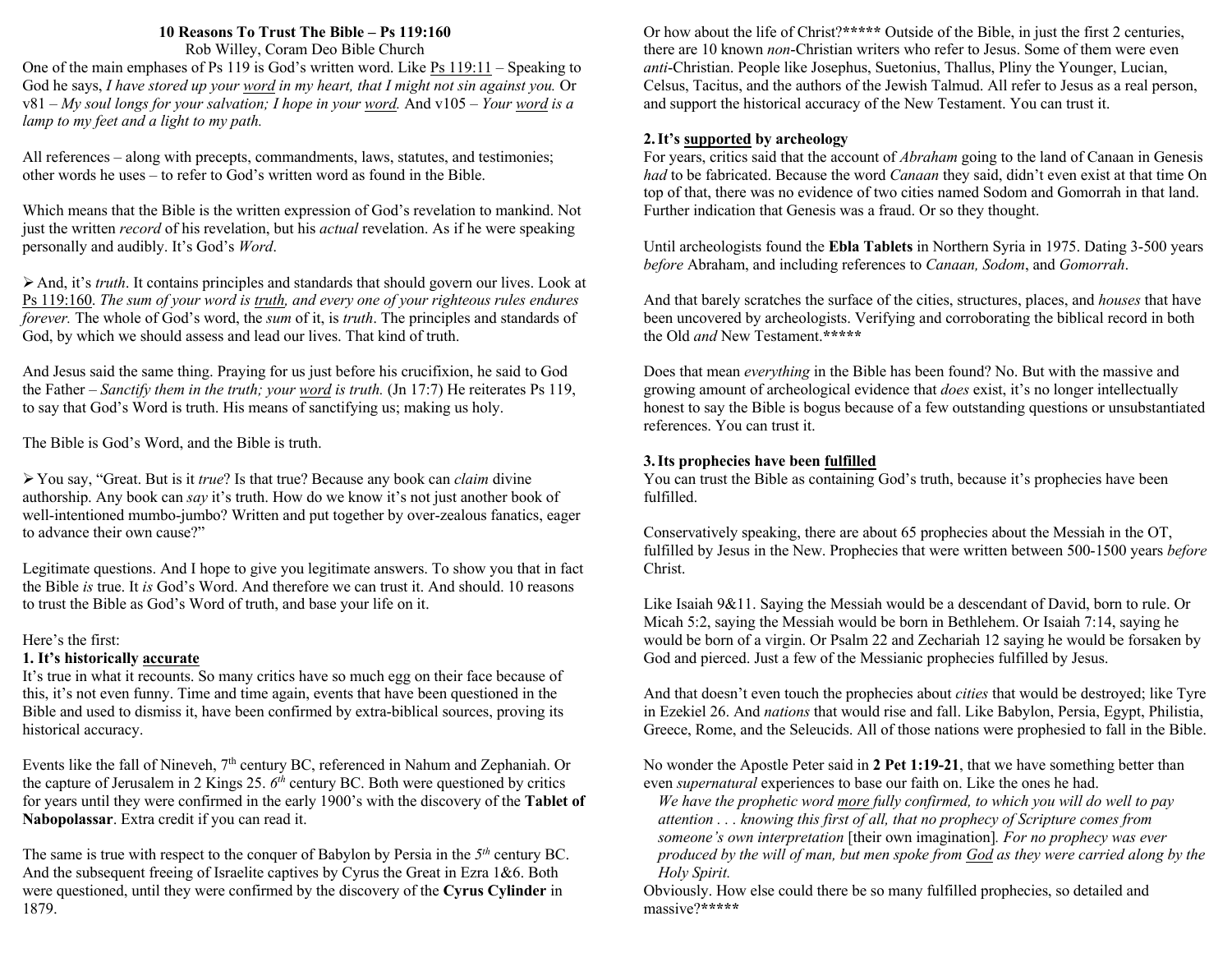### **10 Reasons To Trust The Bible – Ps 119:160**

Rob Willey, Coram Deo Bible Church

One of the main emphases of Ps 119 is God's written word. Like Ps 119:11 – Speaking to God he says, *I have stored up your word in my heart, that I might not sin against you.* Or v81 – *My soul longs for your salvation; I hope in your word.* And v105 – *Your word is a lamp to my feet and a light to my path.*

All references – along with precepts, commandments, laws, statutes, and testimonies; other words he uses – to refer to God's written word as found in the Bible.

Which means that the Bible is the written expression of God's revelation to mankind. Not just the written *record* of his revelation, but his *actual* revelation. As if he were speaking personally and audibly. It's God's *Word*.

ØAnd, it's *truth*. It contains principles and standards that should govern our lives. Look at Ps 119:160. *The sum of your word is truth, and every one of your righteous rules endures forever.* The whole of God's word, the *sum* of it, is *truth*. The principles and standards of God, by which we should assess and lead our lives. That kind of truth.

And Jesus said the same thing. Praying for us just before his crucifixion, he said to God the Father – *Sanctify them in the truth; your word is truth.* (Jn 17:7) He reiterates Ps 119, to say that God's Word is truth. His means of sanctifying us; making us holy.

The Bible is God's Word, and the Bible is truth.

ØYou say, "Great. But is it *true*? Is that true? Because any book can *claim* divine authorship. Any book can *say* it's truth. How do we know it's not just another book of well-intentioned mumbo-jumbo? Written and put together by over-zealous fanatics, eager to advance their own cause?"

Legitimate questions. And I hope to give you legitimate answers. To show you that in fact the Bible *is* true. It *is* God's Word. And therefore we can trust it. And should. 10 reasons to trust the Bible as God's Word of truth, and base your life on it.

### Here's the first:

### **1. It's historically accurate**

It's true in what it recounts. So many critics have so much egg on their face because of this, it's not even funny. Time and time again, events that have been questioned in the Bible and used to dismiss it, have been confirmed by extra-biblical sources, proving its historical accuracy.

Events like the fall of Nineveh,  $7<sup>th</sup>$  century BC, referenced in Nahum and Zephaniah. Or the capture of Jerusalem in 2 Kings 25.  $6<sup>th</sup>$  century BC. Both were questioned by critics for years until they were confirmed in the early 1900's with the discovery of the **Tablet of Nabopolassar**. Extra credit if you can read it.

The same is true with respect to the conquer of Babylon by Persia in the *5th* century BC. And the subsequent freeing of Israelite captives by Cyrus the Great in Ezra 1&6. Both were questioned, until they were confirmed by the discovery of the **Cyrus Cylinder** in 1879.

Or how about the life of Christ?**\*\*\*\*\*** Outside of the Bible, in just the first 2 centuries, there are 10 known *non*-Christian writers who refer to Jesus. Some of them were even *anti*-Christian. People like Josephus, Suetonius, Thallus, Pliny the Younger, Lucian, Celsus, Tacitus, and the authors of the Jewish Talmud. All refer to Jesus as a real person, and support the historical accuracy of the New Testament. You can trust it.

### **2.It's supported by archeology**

For years, critics said that the account of *Abraham* going to the land of Canaan in Genesis *had* to be fabricated. Because the word *Canaan* they said, didn't even exist at that time On top of that, there was no evidence of two cities named Sodom and Gomorrah in that land. Further indication that Genesis was a fraud. Or so they thought.

Until archeologists found the **Ebla Tablets** in Northern Syria in 1975. Dating 3-500 years *before* Abraham, and including references to *Canaan, Sodom*, and *Gomorrah*.

And that barely scratches the surface of the cities, structures, places, and *houses* that have been uncovered by archeologists. Verifying and corroborating the biblical record in both the Old *and* New Testament.**\*\*\*\*\***

Does that mean *everything* in the Bible has been found? No. But with the massive and growing amount of archeological evidence that *does* exist, it's no longer intellectually honest to say the Bible is bogus because of a few outstanding questions or unsubstantiated references. You can trust it.

### **3.Its prophecies have been fulfilled**

You can trust the Bible as containing God's truth, because it's prophecies have been fulfilled.

Conservatively speaking, there are about 65 prophecies about the Messiah in the OT, fulfilled by Jesus in the New. Prophecies that were written between 500-1500 years *before* Christ.

Like Isaiah 9&11. Saying the Messiah would be a descendant of David, born to rule. Or Micah 5:2, saying the Messiah would be born in Bethlehem. Or Isaiah 7:14, saying he would be born of a virgin. Or Psalm 22 and Zechariah 12 saying he would be forsaken by God and pierced. Just a few of the Messianic prophecies fulfilled by Jesus.

And that doesn't even touch the prophecies about *cities* that would be destroyed; like Tyre in Ezekiel 26. And *nations* that would rise and fall. Like Babylon, Persia, Egypt, Philistia, Greece, Rome, and the Seleucids. All of those nations were prophesied to fall in the Bible.

No wonder the Apostle Peter said in **2 Pet 1:19-21**, that we have something better than even *supernatural* experiences to base our faith on. Like the ones he had.

*We have the prophetic word more fully confirmed, to which you will do well to pay attention . . . knowing this first of all, that no prophecy of Scripture comes from someone's own interpretation* [their own imagination]*. For no prophecy was ever produced by the will of man, but men spoke from God as they were carried along by the Holy Spirit.*

Obviously. How else could there be so many fulfilled prophecies, so detailed and massive?**\*\*\*\*\***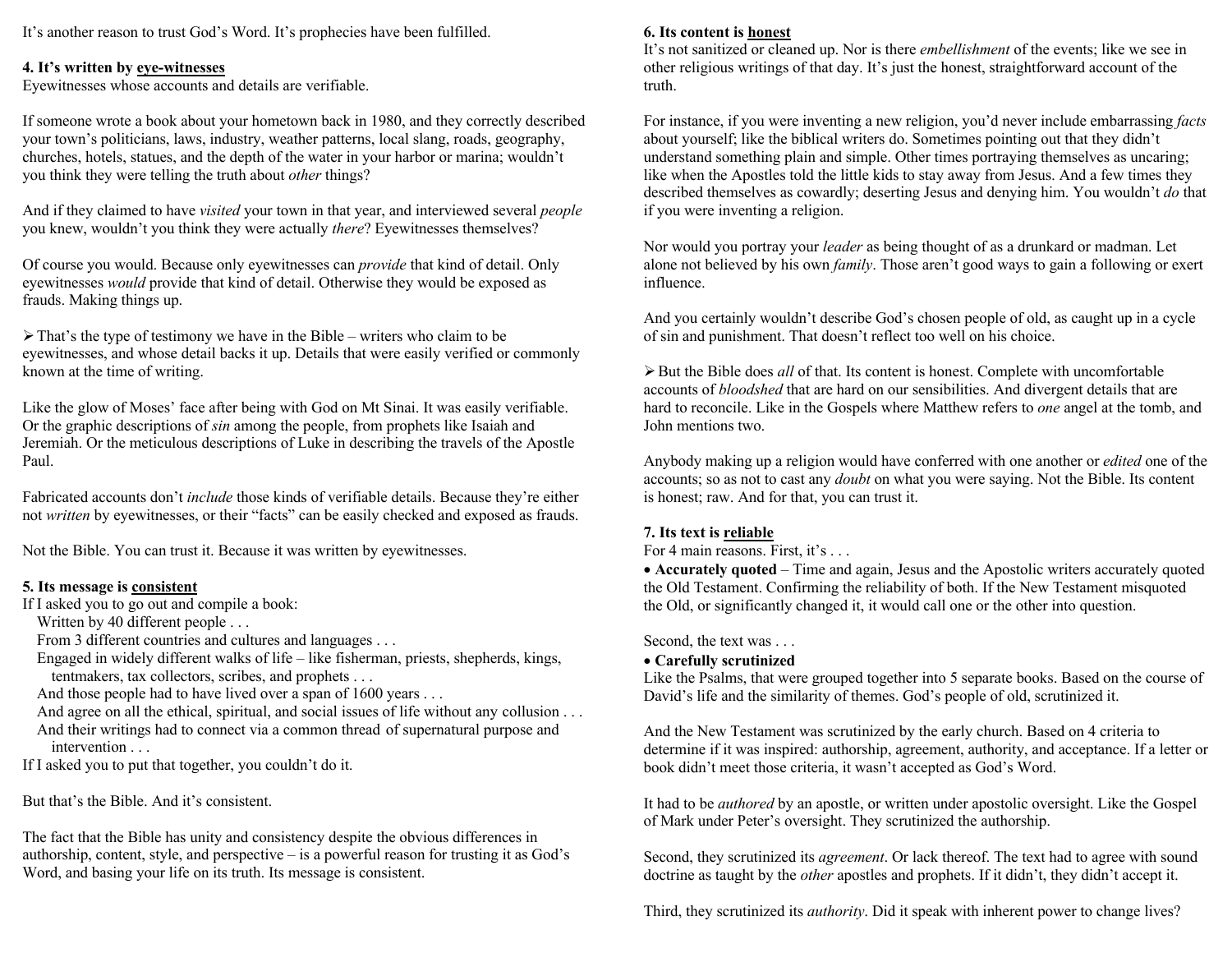It's another reason to trust God's Word. It's prophecies have been fulfilled.

## **4. It's written by eye-witnesses**

Eyewitnesses whose accounts and details are verifiable.

If someone wrote a book about your hometown back in 1980, and they correctly described your town's politicians, laws, industry, weather patterns, local slang, roads, geography, churches, hotels, statues, and the depth of the water in your harbor or marina; wouldn't you think they were telling the truth about *other* things?

And if they claimed to have *visited* your town in that year, and interviewed several *people* you knew, wouldn't you think they were actually *there*? Eyewitnesses themselves?

Of course you would. Because only eyewitnesses can *provide* that kind of detail. Only eyewitnesses *would* provide that kind of detail. Otherwise they would be exposed as frauds. Making things up.

 $\triangleright$  That's the type of testimony we have in the Bible – writers who claim to be eyewitnesses, and whose detail backs it up. Details that were easily verified or commonly known at the time of writing.

Like the glow of Moses' face after being with God on Mt Sinai. It was easily verifiable. Or the graphic descriptions of *sin* among the people, from prophets like Isaiah and Jeremiah. Or the meticulous descriptions of Luke in describing the travels of the Apostle Paul.

Fabricated accounts don't *include* those kinds of verifiable details. Because they're either not *written* by eyewitnesses, or their "facts" can be easily checked and exposed as frauds.

Not the Bible. You can trust it. Because it was written by eyewitnesses.

# **5. Its message is consistent**

If I asked you to go out and compile a book:

Written by 40 different people . . .

From 3 different countries and cultures and languages . . .

- Engaged in widely different walks of life like fisherman, priests, shepherds, kings, tentmakers, tax collectors, scribes, and prophets . . .
- And those people had to have lived over a span of 1600 years . . .
- And agree on all the ethical, spiritual, and social issues of life without any collusion . . . And their writings had to connect via a common thread of supernatural purpose and intervention . . .

If I asked you to put that together, you couldn't do it.

But that's the Bible. And it's consistent.

The fact that the Bible has unity and consistency despite the obvious differences in authorship, content, style, and perspective – is a powerful reason for trusting it as God's Word, and basing your life on its truth. Its message is consistent.

# **6. Its content is honest**

It's not sanitized or cleaned up. Nor is there *embellishment* of the events; like we see in other religious writings of that day. It's just the honest, straightforward account of the truth.

For instance, if you were inventing a new religion, you'd never include embarrassing *facts* about yourself; like the biblical writers do. Sometimes pointing out that they didn't understand something plain and simple. Other times portraying themselves as uncaring; like when the Apostles told the little kids to stay away from Jesus. And a few times they described themselves as cowardly; deserting Jesus and denying him. You wouldn't *do* that if you were inventing a religion.

Nor would you portray your *leader* as being thought of as a drunkard or madman. Let alone not believed by his own *family*. Those aren't good ways to gain a following or exert influence.

And you certainly wouldn't describe God's chosen people of old, as caught up in a cycle of sin and punishment. That doesn't reflect too well on his choice.

ØBut the Bible does *all* of that. Its content is honest. Complete with uncomfortable accounts of *bloodshed* that are hard on our sensibilities. And divergent details that are hard to reconcile. Like in the Gospels where Matthew refers to *one* angel at the tomb, and John mentions two.

Anybody making up a religion would have conferred with one another or *edited* one of the accounts; so as not to cast any *doubt* on what you were saying. Not the Bible. Its content is honest; raw. And for that, you can trust it.

# **7. Its text is reliable**

For 4 main reasons. First, it's . . .

• **Accurately quoted** – Time and again, Jesus and the Apostolic writers accurately quoted the Old Testament. Confirming the reliability of both. If the New Testament misquoted the Old, or significantly changed it, it would call one or the other into question.

Second, the text was . . .

# • **Carefully scrutinized**

Like the Psalms, that were grouped together into 5 separate books. Based on the course of David's life and the similarity of themes. God's people of old, scrutinized it.

And the New Testament was scrutinized by the early church. Based on 4 criteria to determine if it was inspired: authorship, agreement, authority, and acceptance. If a letter or book didn't meet those criteria, it wasn't accepted as God's Word.

It had to be *authored* by an apostle, or written under apostolic oversight. Like the Gospel of Mark under Peter's oversight. They scrutinized the authorship.

Second, they scrutinized its *agreement*. Or lack thereof. The text had to agree with sound doctrine as taught by the *other* apostles and prophets. If it didn't, they didn't accept it.

Third, they scrutinized its *authority*. Did it speak with inherent power to change lives?